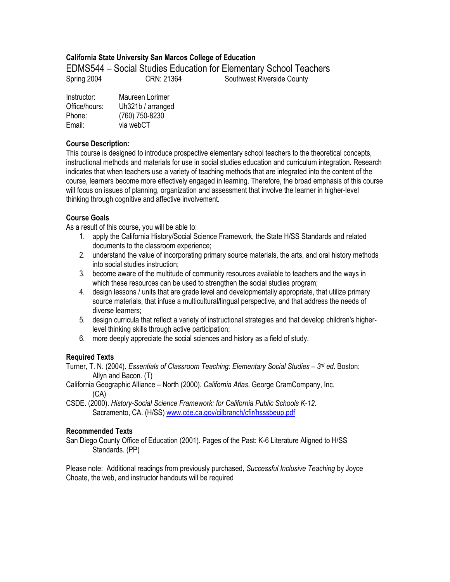# **California State University San Marcos College of Education**

EDMS544 – Social Studies Education for Elementary School Teachers Spring 2004 **CRN: 21364** Southwest Riverside County

| Instructor:   | Maureen Lorimer   |
|---------------|-------------------|
| Office/hours: | Uh321b / arranged |
| Phone:        | (760) 750-8230    |
| Email:        | via webCT         |

## **Course Description:**

This course is designed to introduce prospective elementary school teachers to the theoretical concepts, instructional methods and materials for use in social studies education and curriculum integration. Research indicates that when teachers use a variety of teaching methods that are integrated into the content of the course, learners become more effectively engaged in learning. Therefore, the broad emphasis of this course will focus on issues of planning, organization and assessment that involve the learner in higher-level thinking through cognitive and affective involvement.

# **Course Goals**

As a result of this course, you will be able to:

- 1. apply the California History/Social Science Framework, the State H/SS Standards and related documents to the classroom experience;
- 2. understand the value of incorporating primary source materials, the arts, and oral history methods into social studies instruction;
- 3. become aware of the multitude of community resources available to teachers and the ways in which these resources can be used to strengthen the social studies program;
- 4. design lessons / units that are grade level and developmentally appropriate, that utilize primary source materials, that infuse a multicultural/lingual perspective, and that address the needs of diverse learners;
- 5. design curricula that reflect a variety of instructional strategies and that develop children's higherlevel thinking skills through active participation;
- 6. more deeply appreciate the social sciences and history as a field of study.

# **Required Texts**

Turner, T. N. (2004). *Essentials of Classroom Teaching: Elementary Social Studies – 3rd ed*. Boston: Allyn and Bacon. (T)

- California Geographic Alliance North (2000). *California Atlas*. George CramCompany, Inc. (CA)
- CSDE. (2000). *History-Social Science Framework: for California Public Schools K-12*. Sacramento, CA. (H/SS) www.cde.ca.gov/cilbranch/cfir/hsssbeup.pdf

# **Recommended Texts**

San Diego County Office of Education (2001). Pages of the Past: K-6 Literature Aligned to H/SS Standards. (PP)

Please note: Additional readings from previously purchased, *Successful Inclusive Teaching* by Joyce Choate, the web, and instructor handouts will be required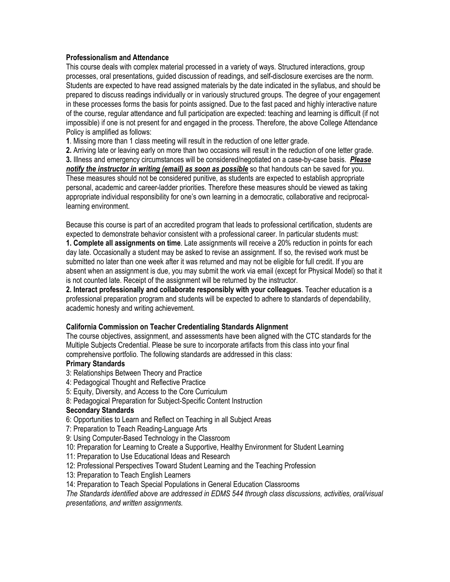### **Professionalism and Attendance**

This course deals with complex material processed in a variety of ways. Structured interactions, group processes, oral presentations, guided discussion of readings, and self-disclosure exercises are the norm. Students are expected to have read assigned materials by the date indicated in the syllabus, and should be prepared to discuss readings individually or in variously structured groups. The degree of your engagement in these processes forms the basis for points assigned. Due to the fast paced and highly interactive nature of the course, regular attendance and full participation are expected: teaching and learning is difficult (if not impossible) if one is not present for and engaged in the process. Therefore, the above College Attendance Policy is amplified as follows:

**1**. Missing more than 1 class meeting will result in the reduction of one letter grade.

**2.** Arriving late or leaving early on more than two occasions will result in the reduction of one letter grade. **3.** Illness and emergency circumstances will be considered/negotiated on a case-by-case basis. *Please notify the instructor in writing (email) as soon as possible* so that handouts can be saved for you. These measures should not be considered punitive, as students are expected to establish appropriate personal, academic and career-ladder priorities. Therefore these measures should be viewed as taking appropriate individual responsibility for one's own learning in a democratic, collaborative and reciprocallearning environment.

Because this course is part of an accredited program that leads to professional certification, students are expected to demonstrate behavior consistent with a professional career. In particular students must: **1. Complete all assignments on time**. Late assignments will receive a 20% reduction in points for each day late. Occasionally a student may be asked to revise an assignment. If so, the revised work must be submitted no later than one week after it was returned and may not be eligible for full credit. If you are absent when an assignment is due, you may submit the work via email (except for Physical Model) so that it is not counted late. Receipt of the assignment will be returned by the instructor.

**2. Interact professionally and collaborate responsibly with your colleagues**. Teacher education is a professional preparation program and students will be expected to adhere to standards of dependability, academic honesty and writing achievement.

### **California Commission on Teacher Credentialing Standards Alignment**

The course objectives, assignment, and assessments have been aligned with the CTC standards for the Multiple Subjects Credential. Please be sure to incorporate artifacts from this class into your final comprehensive portfolio. The following standards are addressed in this class:

# **Primary Standards**

- 3: Relationships Between Theory and Practice
- 4: Pedagogical Thought and Reflective Practice
- 5: Equity, Diversity, and Access to the Core Curriculum
- 8: Pedagogical Preparation for Subject-Specific Content Instruction

### **Secondary Standards**

- 6: Opportunities to Learn and Reflect on Teaching in all Subject Areas
- 7: Preparation to Teach Reading-Language Arts
- 9: Using Computer-Based Technology in the Classroom
- 10: Preparation for Learning to Create a Supportive, Healthy Environment for Student Learning
- 11: Preparation to Use Educational Ideas and Research
- 12: Professional Perspectives Toward Student Learning and the Teaching Profession
- 13: Preparation to Teach English Learners
- 14: Preparation to Teach Special Populations in General Education Classrooms

*The Standards identified above are addressed in EDMS 544 through class discussions, activities, oral/visual presentations, and written assignments.*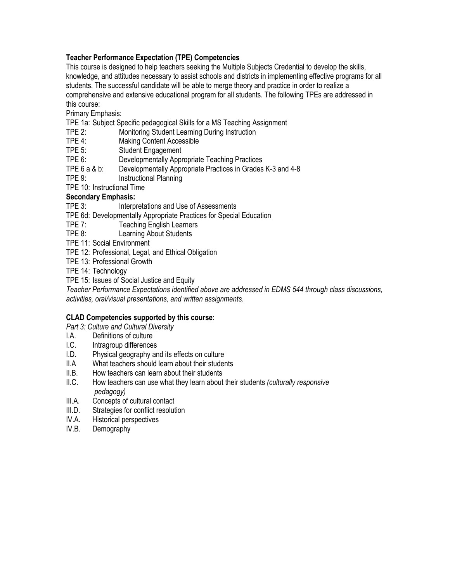# **Teacher Performance Expectation (TPE) Competencies**

This course is designed to help teachers seeking the Multiple Subjects Credential to develop the skills, knowledge, and attitudes necessary to assist schools and districts in implementing effective programs for all students. The successful candidate will be able to merge theory and practice in order to realize a comprehensive and extensive educational program for all students. The following TPEs are addressed in this course:

Primary Emphasis:

TPE 1a: Subject Specific pedagogical Skills for a MS Teaching Assignment

- TPE 2: Monitoring Student Learning During Instruction
- TPE 4: Making Content Accessible
- TPE 5: Student Engagement
- TPE 6: Developmentally Appropriate Teaching Practices
- TPE 6 a & b: Developmentally Appropriate Practices in Grades K-3 and 4-8<br>TPE 9: State of Practional Planning
- Instructional Planning
- TPE 10: Instructional Time

# **Secondary Emphasis:**

TPE 3: Interpretations and Use of Assessments

- TPE 6d: Developmentally Appropriate Practices for Special Education
- TPE 7: Teaching English Learners
- TPE 8: Learning About Students
- TPE 11: Social Environment
- TPE 12: Professional, Legal, and Ethical Obligation
- TPE 13: Professional Growth
- TPE 14: Technology
- TPE 15: Issues of Social Justice and Equity

*Teacher Performance Expectations identified above are addressed in EDMS 544 through class discussions, activities, oral/visual presentations, and written assignments*.

### **CLAD Competencies supported by this course:**

*Part 3: Culture and Cultural Diversity*

- I.A. Definitions of culture<br>I.C. Intragroup differences
- Intragroup differences
- I.D. Physical geography and its effects on culture
- II.A What teachers should learn about their students
- II.B. How teachers can learn about their students
- II.C. How teachers can use what they learn about their students *(culturally responsive pedagogy)*
- III.A. Concepts of cultural contact
- III.D. Strategies for conflict resolution
- IV.A. Historical perspectives
- IV.B. Demography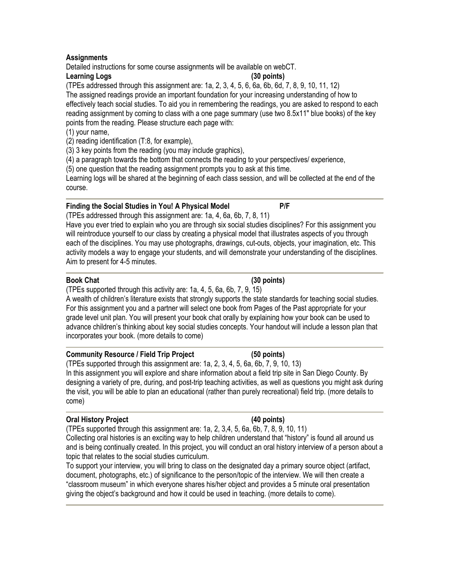# **Assignments**

Detailed instructions for some course assignments will be available on webCT.

## **Learning Logs (30 points)**

(TPEs addressed through this assignment are: 1a, 2, 3, 4, 5, 6, 6a, 6b, 6d, 7, 8, 9, 10, 11, 12) The assigned readings provide an important foundation for your increasing understanding of how to effectively teach social studies. To aid you in remembering the readings, you are asked to respond to each reading assignment by coming to class with a one page summary (use two 8.5x11" blue books) of the key points from the reading. Please structure each page with:

## (1) your name,

(2) reading identification (T:8, for example),

(3) 3 key points from the reading (you may include graphics),

(4) a paragraph towards the bottom that connects the reading to your perspectives/ experience,

(5) one question that the reading assignment prompts you to ask at this time.

Learning logs will be shared at the beginning of each class session, and will be collected at the end of the course.

# **Finding the Social Studies in You! A Physical Model P/F**

(TPEs addressed through this assignment are: 1a, 4, 6a, 6b, 7, 8, 11)

Have you ever tried to explain who you are through six social studies disciplines? For this assignment you will reintroduce yourself to our class by creating a physical model that illustrates aspects of you through each of the disciplines. You may use photographs, drawings, cut-outs, objects, your imagination, etc. This activity models a way to engage your students, and will demonstrate your understanding of the disciplines. Aim to present for 4-5 minutes.

## **Book Chat (30 points)**

(TPEs supported through this activity are: 1a, 4, 5, 6a, 6b, 7, 9, 15)

A wealth of children's literature exists that strongly supports the state standards for teaching social studies. For this assignment you and a partner will select one book from Pages of the Past appropriate for your grade level unit plan. You will present your book chat orally by explaining how your book can be used to advance children's thinking about key social studies concepts. Your handout will include a lesson plan that incorporates your book. (more details to come)

# **Community Resource / Field Trip Project (50 points)**

(TPEs supported through this assignment are: 1a, 2, 3, 4, 5, 6a, 6b, 7, 9, 10, 13) In this assignment you will explore and share information about a field trip site in San Diego County. By designing a variety of pre, during, and post-trip teaching activities, as well as questions you might ask during the visit, you will be able to plan an educational (rather than purely recreational) field trip. (more details to come)

# **Oral History Project (40 points)**

(TPEs supported through this assignment are: 1a, 2, 3,4, 5, 6a, 6b, 7, 8, 9, 10, 11) Collecting oral histories is an exciting way to help children understand that "history" is found all around us and is being continually created. In this project, you will conduct an oral history interview of a person about a topic that relates to the social studies curriculum.

To support your interview, you will bring to class on the designated day a primary source object (artifact, document, photographs, etc.) of significance to the person/topic of the interview. We will then create a "classroom museum" in which everyone shares his/her object and provides a 5 minute oral presentation giving the object's background and how it could be used in teaching. (more details to come).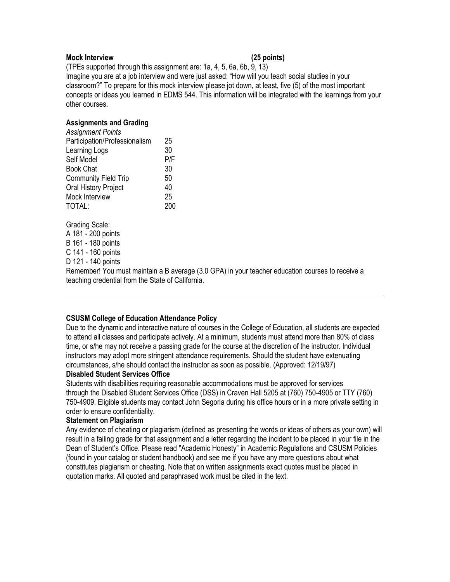#### **Mock Interview (25 points)**

(TPEs supported through this assignment are: 1a, 4, 5, 6a, 6b, 9, 13) Imagine you are at a job interview and were just asked: "How will you teach social studies in your classroom?" To prepare for this mock interview please jot down, at least, five (5) of the most important concepts or ideas you learned in EDMS 544. This information will be integrated with the learnings from your other courses.

#### **Assignments and Grading**

| <b>Assignment Points</b>      |     |
|-------------------------------|-----|
| Participation/Professionalism | 25  |
| Learning Logs                 | 30  |
| Self Model                    | P/F |
| <b>Book Chat</b>              | 30  |
| <b>Community Field Trip</b>   | 50  |
| Oral History Project          | 40  |
| Mock Interview                | 25  |
| TOTAL:                        | 200 |
|                               |     |

Grading Scale:

A 181 - 200 points

B 161 - 180 points

C 141 - 160 points

D 121 - 140 points

Remember! You must maintain a B average (3.0 GPA) in your teacher education courses to receive a teaching credential from the State of California.

### **CSUSM College of Education Attendance Policy**

Due to the dynamic and interactive nature of courses in the College of Education, all students are expected to attend all classes and participate actively. At a minimum, students must attend more than 80% of class time, or s/he may not receive a passing grade for the course at the discretion of the instructor. Individual instructors may adopt more stringent attendance requirements. Should the student have extenuating circumstances, s/he should contact the instructor as soon as possible. (Approved: 12/19/97)

### **Disabled Student Services Office**

Students with disabilities requiring reasonable accommodations must be approved for services through the Disabled Student Services Office (DSS) in Craven Hall 5205 at (760) 750-4905 or TTY (760) 750-4909. Eligible students may contact John Segoria during his office hours or in a more private setting in order to ensure confidentiality.

#### **Statement on Plagiarism**

Any evidence of cheating or plagiarism (defined as presenting the words or ideas of others as your own) will result in a failing grade for that assignment and a letter regarding the incident to be placed in your file in the Dean of Student's Office. Please read "Academic Honesty" in Academic Regulations and CSUSM Policies (found in your catalog or student handbook) and see me if you have any more questions about what constitutes plagiarism or cheating. Note that on written assignments exact quotes must be placed in quotation marks. All quoted and paraphrased work must be cited in the text.